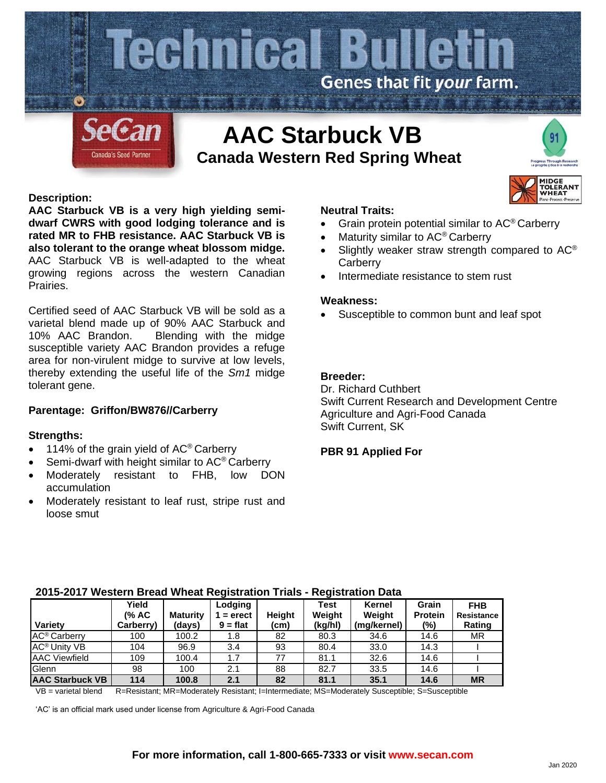

## **Description:**

**AAC Starbuck VB is a very high yielding semidwarf CWRS with good lodging tolerance and is rated MR to FHB resistance. AAC Starbuck VB is also tolerant to the orange wheat blossom midge.**  AAC Starbuck VB is well-adapted to the wheat growing regions across the western Canadian Prairies.

Certified seed of AAC Starbuck VB will be sold as a varietal blend made up of 90% AAC Starbuck and 10% AAC Brandon. Blending with the midge susceptible variety AAC Brandon provides a refuge area for non-virulent midge to survive at low levels, thereby extending the useful life of the *Sm1* midge tolerant gene.

## **Parentage: Griffon/BW876//Carberry**

#### **Strengths:**

- 114% of the grain yield of AC<sup>®</sup> Carberry
- Semi-dwarf with height similar to AC<sup>®</sup> Carberry
- Moderately resistant to FHB, low DON accumulation
- Moderately resistant to leaf rust, stripe rust and loose smut

#### **Neutral Traits:**

- Grain protein potential similar to AC® Carberry
- Maturity similar to AC® Carberry
- Slightly weaker straw strength compared to AC<sup>®</sup> **Carberry**

**MIDGE COLERAN HEAT** 

• Intermediate resistance to stem rust

#### **Weakness:**

Susceptible to common bunt and leaf spot

# **Breeder:**

Dr. Richard Cuthbert Swift Current Research and Development Centre Agriculture and Agri-Food Canada Swift Current, SK

#### **PBR 91 Applied For**

| Variety                        | Yield<br>(% AC<br>Carberry) | <b>Maturity</b><br>(days) | Lodging<br>$=$ erect<br>$9 = flat$ | Height<br>(cm) | Test<br>Weight<br>(kg/hl) | Kernel<br>Weight<br>(mg/kernel) | Grain<br><b>Protein</b><br>$(\%)$ | <b>FHB</b><br><b>Resistance</b><br>Rating |
|--------------------------------|-----------------------------|---------------------------|------------------------------------|----------------|---------------------------|---------------------------------|-----------------------------------|-------------------------------------------|
| AC <sup>®</sup> Carberry       | 100                         | 100.2                     | 1.8                                | 82             | 80.3                      | 34.6                            | 14.6                              | MR                                        |
| <b>AC<sup>®</sup> Unity VB</b> | 104                         | 96.9                      | 3.4                                | 93             | 80.4                      | 33.0                            | 14.3                              |                                           |
| <b>AAC Viewfield</b>           | 109                         | 100.4                     | 1.7                                | 77             | 81.1                      | 32.6                            | 14.6                              |                                           |
| Glenn                          | 98                          | 100                       | 2.1                                | 88             | 82.7                      | 33.5                            | 14.6                              |                                           |
| <b>AAC Starbuck VB</b>         | 114                         | 100.8                     | 2.1                                | 82             | 81.1                      | 35.1                            | 14.6                              | <b>MR</b>                                 |

#### **2015-2017 Western Bread Wheat Registration Trials - Registration Data**

VB = varietal blend R=Resistant; MR=Moderately Resistant; I=Intermediate; MS=Moderately Susceptible; S=Susceptible

'AC' is an official mark used under license from Agriculture & Agri-Food Canada